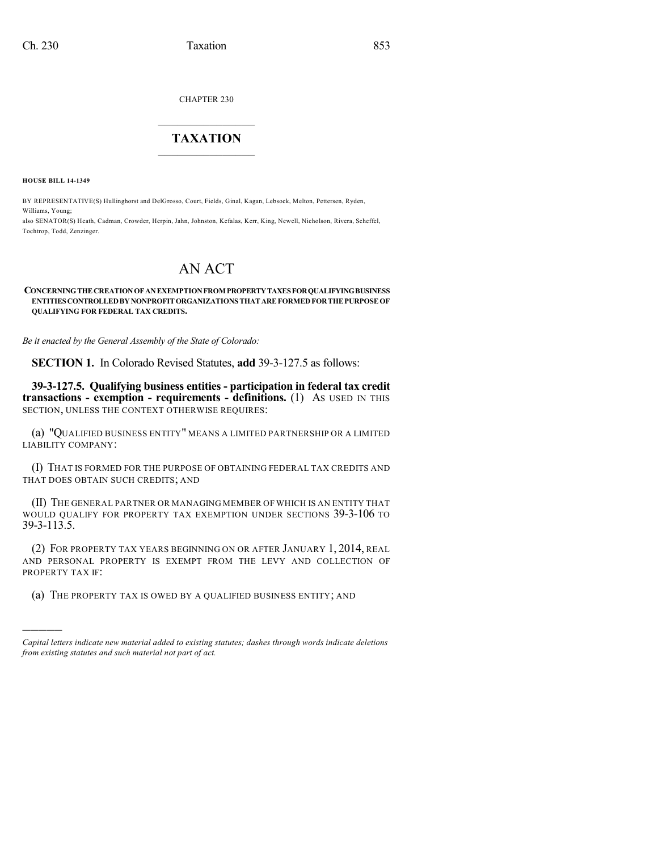CHAPTER 230

## $\overline{\phantom{a}}$  . The set of the set of the set of the set of the set of the set of the set of the set of the set of the set of the set of the set of the set of the set of the set of the set of the set of the set of the set o **TAXATION**  $\_$

**HOUSE BILL 14-1349**

Tochtrop, Todd, Zenzinger.

)))))

BY REPRESENTATIVE(S) Hullinghorst and DelGrosso, Court, Fields, Ginal, Kagan, Lebsock, Melton, Pettersen, Ryden, Williams, Young; also SENATOR(S) Heath, Cadman, Crowder, Herpin, Jahn, Johnston, Kefalas, Kerr, King, Newell, Nicholson, Rivera, Scheffel,

## AN ACT

## **CONCERNINGTHECREATIONOFANEXEMPTIONFROM PROPERTYTAXESFORQUALIFYINGBUSINESS ENTITIESCONTROLLEDBYNONPROFITORGANIZATIONS THATAREFORMEDFORTHEPURPOSEOF QUALIFYING FOR FEDERAL TAX CREDITS.**

*Be it enacted by the General Assembly of the State of Colorado:*

**SECTION 1.** In Colorado Revised Statutes, **add** 39-3-127.5 as follows:

**39-3-127.5. Qualifying business entities - participation in federal tax credit transactions - exemption - requirements - definitions.** (1) AS USED IN THIS SECTION, UNLESS THE CONTEXT OTHERWISE REQUIRES:

(a) "QUALIFIED BUSINESS ENTITY" MEANS A LIMITED PARTNERSHIP OR A LIMITED LIABILITY COMPANY:

(I) THAT IS FORMED FOR THE PURPOSE OF OBTAINING FEDERAL TAX CREDITS AND THAT DOES OBTAIN SUCH CREDITS; AND

(II) THE GENERAL PARTNER OR MANAGING MEMBER OF WHICH IS AN ENTITY THAT WOULD QUALIFY FOR PROPERTY TAX EXEMPTION UNDER SECTIONS 39-3-106 TO 39-3-113.5.

(2) FOR PROPERTY TAX YEARS BEGINNING ON OR AFTER JANUARY 1, 2014, REAL AND PERSONAL PROPERTY IS EXEMPT FROM THE LEVY AND COLLECTION OF PROPERTY TAX IF:

(a) THE PROPERTY TAX IS OWED BY A QUALIFIED BUSINESS ENTITY; AND

*Capital letters indicate new material added to existing statutes; dashes through words indicate deletions from existing statutes and such material not part of act.*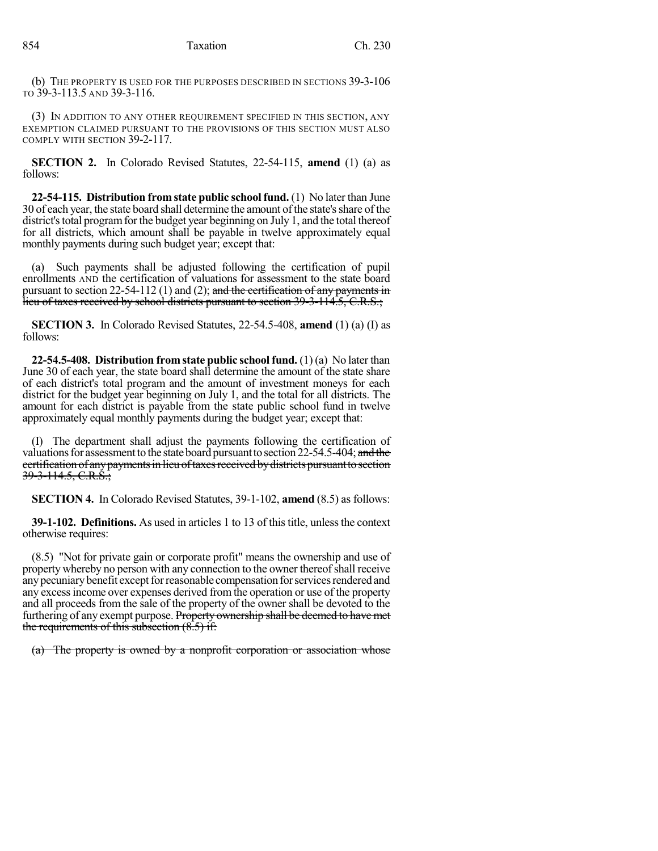(b) THE PROPERTY IS USED FOR THE PURPOSES DESCRIBED IN SECTIONS 39-3-106 TO 39-3-113.5 AND 39-3-116.

(3) IN ADDITION TO ANY OTHER REQUIREMENT SPECIFIED IN THIS SECTION, ANY EXEMPTION CLAIMED PURSUANT TO THE PROVISIONS OF THIS SECTION MUST ALSO COMPLY WITH SECTION 39-2-117.

**SECTION 2.** In Colorado Revised Statutes, 22-54-115, **amend** (1) (a) as follows:

**22-54-115. Distribution from state public schoolfund.** (1) No later than June 30 of each year, the state board shall determine the amount ofthe state'sshare of the district's total program for the budget year beginning on July 1, and the total thereof for all districts, which amount shall be payable in twelve approximately equal monthly payments during such budget year; except that:

(a) Such payments shall be adjusted following the certification of pupil enrollments AND the certification of valuations for assessment to the state board pursuant to section 22-54-112 (1) and (2); and the certification of any payments in lieu of taxes received by school districts pursuant to section 39-3-114.5, C.R.S.;

**SECTION 3.** In Colorado Revised Statutes, 22-54.5-408, **amend** (1) (a) (I) as follows:

**22-54.5-408. Distribution from state public school fund.** (1) (a) No later than June 30 of each year, the state board shall determine the amount of the state share of each district's total program and the amount of investment moneys for each district for the budget year beginning on July 1, and the total for all districts. The amount for each district is payable from the state public school fund in twelve approximately equal monthly payments during the budget year; except that:

(I) The department shall adjust the payments following the certification of valuations for assessment to the state board pursuant to section  $22-54.5-404$ ; and the certification of any payments in lieu of taxes received by districts pursuant to section 39-3-114.5, C.R.S.;

**SECTION 4.** In Colorado Revised Statutes, 39-1-102, **amend** (8.5) as follows:

**39-1-102. Definitions.** As used in articles 1 to 13 of this title, unless the context otherwise requires:

(8.5) "Not for private gain or corporate profit" means the ownership and use of property whereby no person with any connection to the owner thereofshall receive any pecuniary benefit except for reasonable compensation for services rendered and any excessincome over expenses derived from the operation or use of the property and all proceeds from the sale of the property of the owner shall be devoted to the furthering of any exempt purpose. Property ownership shall be deemed to have met the requirements of this subsection (8.5) if:

(a) The property is owned by a nonprofit corporation or association whose